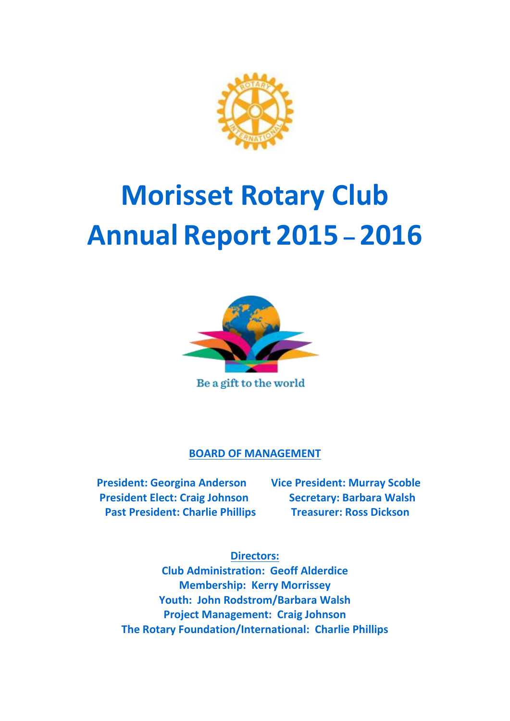

# **Morisset Rotary Club Annual Report 2015 – 2016**



Be a gift to the world

## **BOARD OF MANAGEMENT**

 **President: Georgina Anderson Vice President: Murray Scoble President Elect: Craig Johnson Secretary: Barbara Walsh Past President: Charlie Phillips Treasurer: Ross Dickson** 

**Directors:**

**Club Administration: Geoff Alderdice Membership: Kerry Morrissey Youth: John Rodstrom/Barbara Walsh Project Management: Craig Johnson The Rotary Foundation/International: Charlie Phillips**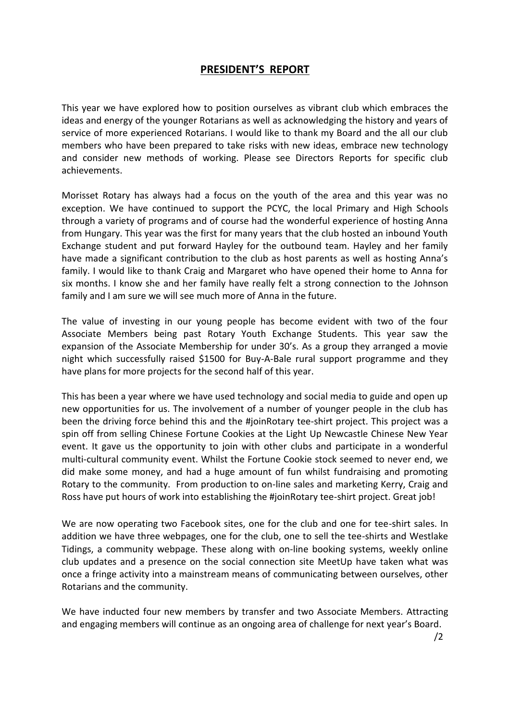### **PRESIDENT'S REPORT**

This year we have explored how to position ourselves as vibrant club which embraces the ideas and energy of the younger Rotarians as well as acknowledging the history and years of service of more experienced Rotarians. I would like to thank my Board and the all our club members who have been prepared to take risks with new ideas, embrace new technology and consider new methods of working. Please see Directors Reports for specific club achievements.

Morisset Rotary has always had a focus on the youth of the area and this year was no exception. We have continued to support the PCYC, the local Primary and High Schools through a variety of programs and of course had the wonderful experience of hosting Anna from Hungary. This year was the first for many years that the club hosted an inbound Youth Exchange student and put forward Hayley for the outbound team. Hayley and her family have made a significant contribution to the club as host parents as well as hosting Anna's family. I would like to thank Craig and Margaret who have opened their home to Anna for six months. I know she and her family have really felt a strong connection to the Johnson family and I am sure we will see much more of Anna in the future.

The value of investing in our young people has become evident with two of the four Associate Members being past Rotary Youth Exchange Students. This year saw the expansion of the Associate Membership for under 30's. As a group they arranged a movie night which successfully raised \$1500 for Buy-A-Bale rural support programme and they have plans for more projects for the second half of this year.

This has been a year where we have used technology and social media to guide and open up new opportunities for us. The involvement of a number of younger people in the club has been the driving force behind this and the #joinRotary tee-shirt project. This project was a spin off from selling Chinese Fortune Cookies at the Light Up Newcastle Chinese New Year event. It gave us the opportunity to join with other clubs and participate in a wonderful multi-cultural community event. Whilst the Fortune Cookie stock seemed to never end, we did make some money, and had a huge amount of fun whilst fundraising and promoting Rotary to the community. From production to on-line sales and marketing Kerry, Craig and Ross have put hours of work into establishing the #joinRotary tee-shirt project. Great job!

We are now operating two Facebook sites, one for the club and one for tee-shirt sales. In addition we have three webpages, one for the club, one to sell the tee-shirts and Westlake Tidings, a community webpage. These along with on-line booking systems, weekly online club updates and a presence on the social connection site MeetUp have taken what was once a fringe activity into a mainstream means of communicating between ourselves, other Rotarians and the community.

We have inducted four new members by transfer and two Associate Members. Attracting and engaging members will continue as an ongoing area of challenge for next year's Board.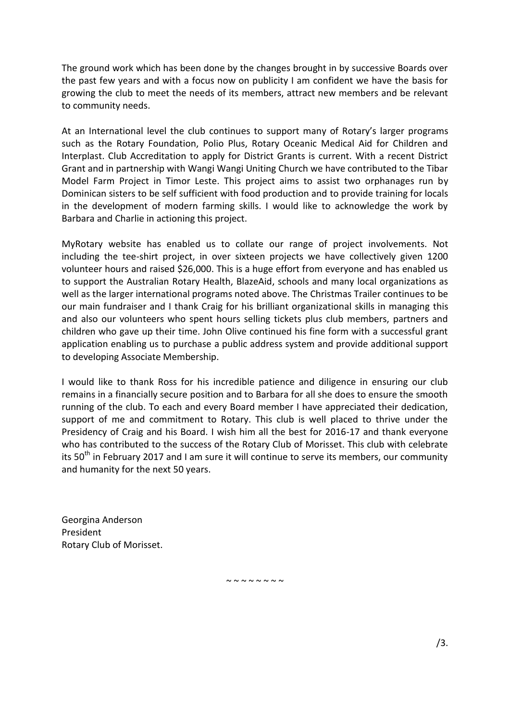The ground work which has been done by the changes brought in by successive Boards over the past few years and with a focus now on publicity I am confident we have the basis for growing the club to meet the needs of its members, attract new members and be relevant to community needs.

At an International level the club continues to support many of Rotary's larger programs such as the Rotary Foundation, Polio Plus, Rotary Oceanic Medical Aid for Children and Interplast. Club Accreditation to apply for District Grants is current. With a recent District Grant and in partnership with Wangi Wangi Uniting Church we have contributed to the Tibar Model Farm Project in Timor Leste. This project aims to assist two orphanages run by Dominican sisters to be self sufficient with food production and to provide training for locals in the development of modern farming skills. I would like to acknowledge the work by Barbara and Charlie in actioning this project.

MyRotary website has enabled us to collate our range of project involvements. Not including the tee-shirt project, in over sixteen projects we have collectively given 1200 volunteer hours and raised \$26,000. This is a huge effort from everyone and has enabled us to support the Australian Rotary Health, BlazeAid, schools and many local organizations as well as the larger international programs noted above. The Christmas Trailer continues to be our main fundraiser and I thank Craig for his brilliant organizational skills in managing this and also our volunteers who spent hours selling tickets plus club members, partners and children who gave up their time. John Olive continued his fine form with a successful grant application enabling us to purchase a public address system and provide additional support to developing Associate Membership.

I would like to thank Ross for his incredible patience and diligence in ensuring our club remains in a financially secure position and to Barbara for all she does to ensure the smooth running of the club. To each and every Board member I have appreciated their dedication, support of me and commitment to Rotary. This club is well placed to thrive under the Presidency of Craig and his Board. I wish him all the best for 2016-17 and thank everyone who has contributed to the success of the Rotary Club of Morisset. This club with celebrate its  $50<sup>th</sup>$  in February 2017 and I am sure it will continue to serve its members, our community and humanity for the next 50 years.

Georgina Anderson President Rotary Club of Morisset.

 $\sim$   $\sim$   $\sim$   $\sim$   $\sim$   $\sim$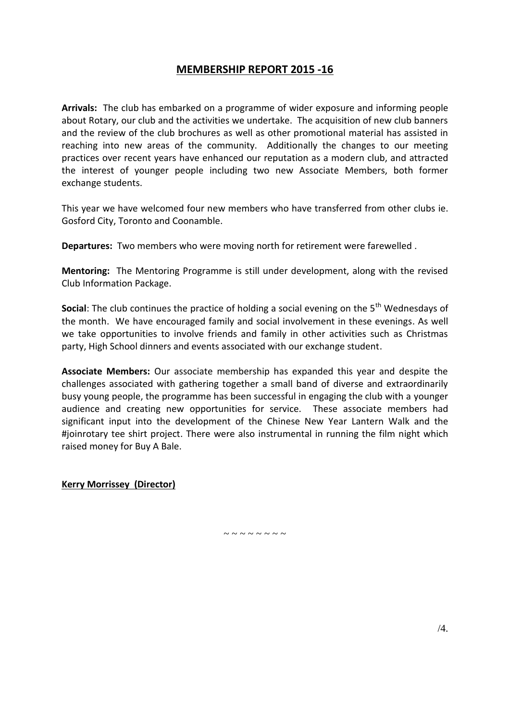## **MEMBERSHIP REPORT 2015 -16**

**Arrivals:** The club has embarked on a programme of wider exposure and informing people about Rotary, our club and the activities we undertake. The acquisition of new club banners and the review of the club brochures as well as other promotional material has assisted in reaching into new areas of the community. Additionally the changes to our meeting practices over recent years have enhanced our reputation as a modern club, and attracted the interest of younger people including two new Associate Members, both former exchange students.

This year we have welcomed four new members who have transferred from other clubs ie. Gosford City, Toronto and Coonamble.

**Departures:** Two members who were moving north for retirement were farewelled .

**Mentoring:** The Mentoring Programme is still under development, along with the revised Club Information Package.

**Social:** The club continues the practice of holding a social evening on the 5<sup>th</sup> Wednesdays of the month. We have encouraged family and social involvement in these evenings. As well we take opportunities to involve friends and family in other activities such as Christmas party, High School dinners and events associated with our exchange student.

**Associate Members:** Our associate membership has expanded this year and despite the challenges associated with gathering together a small band of diverse and extraordinarily busy young people, the programme has been successful in engaging the club with a younger audience and creating new opportunities for service. These associate members had significant input into the development of the Chinese New Year Lantern Walk and the #joinrotary tee shirt project. There were also instrumental in running the film night which raised money for Buy A Bale.

**Kerry Morrissey (Director)**

 $\sim$   $\sim$   $\sim$   $\sim$   $\sim$   $\sim$   $\sim$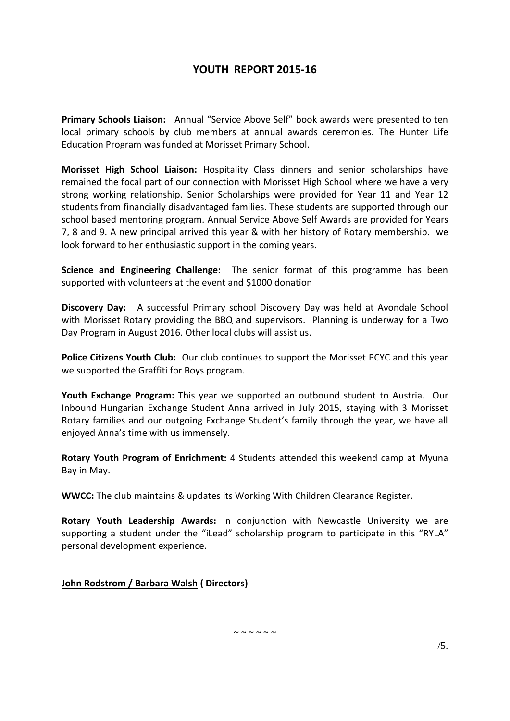## **YOUTH REPORT 2015-16**

**Primary Schools Liaison:** Annual "Service Above Self" book awards were presented to ten local primary schools by club members at annual awards ceremonies. The Hunter Life Education Program was funded at Morisset Primary School.

**Morisset High School Liaison:** Hospitality Class dinners and senior scholarships have remained the focal part of our connection with Morisset High School where we have a very strong working relationship. Senior Scholarships were provided for Year 11 and Year 12 students from financially disadvantaged families. These students are supported through our school based mentoring program. Annual Service Above Self Awards are provided for Years 7, 8 and 9. A new principal arrived this year & with her history of Rotary membership. we look forward to her enthusiastic support in the coming years.

**Science and Engineering Challenge:** The senior format of this programme has been supported with volunteers at the event and \$1000 donation

**Discovery Day:** A successful Primary school Discovery Day was held at Avondale School with Morisset Rotary providing the BBQ and supervisors. Planning is underway for a Two Day Program in August 2016. Other local clubs will assist us.

**Police Citizens Youth Club:** Our club continues to support the Morisset PCYC and this year we supported the Graffiti for Boys program.

**Youth Exchange Program:** This year we supported an outbound student to Austria. Our Inbound Hungarian Exchange Student Anna arrived in July 2015, staying with 3 Morisset Rotary families and our outgoing Exchange Student's family through the year, we have all enjoyed Anna's time with us immensely.

**Rotary Youth Program of Enrichment:** 4 Students attended this weekend camp at Myuna Bay in May.

**WWCC:** The club maintains & updates its Working With Children Clearance Register.

**Rotary Youth Leadership Awards:** In conjunction with Newcastle University we are supporting a student under the "iLead" scholarship program to participate in this "RYLA" personal development experience.

**John Rodstrom / Barbara Walsh ( Directors)**

 $\sim$   $\sim$   $\sim$   $\sim$   $\sim$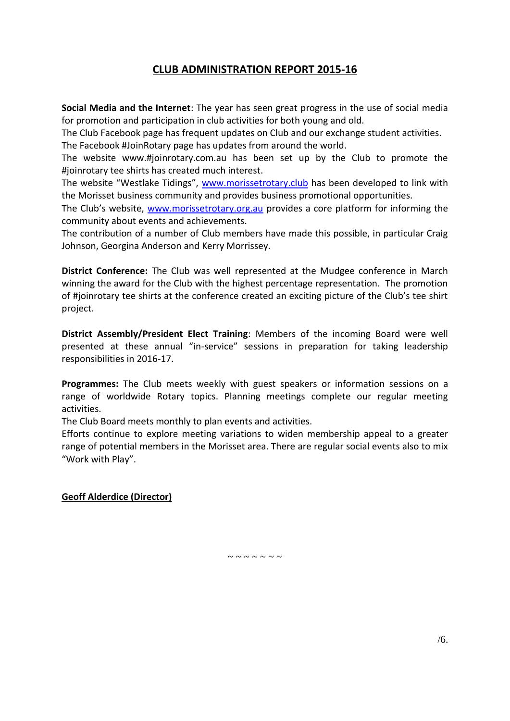## **CLUB ADMINISTRATION REPORT 2015-16**

**Social Media and the Internet**: The year has seen great progress in the use of social media for promotion and participation in club activities for both young and old.

The Club Facebook page has frequent updates on Club and our exchange student activities. The Facebook #JoinRotary page has updates from around the world.

The website www.#joinrotary.com.au has been set up by the Club to promote the #joinrotary tee shirts has created much interest.

The website "Westlake Tidings", [www.morissetrotary.club](http://www.morissetrotary.club/) has been developed to link with the Morisset business community and provides business promotional opportunities.

The Club's website, [www.morissetrotary.org.au](http://www.morissetrotary.org.au/) provides a core platform for informing the community about events and achievements.

The contribution of a number of Club members have made this possible, in particular Craig Johnson, Georgina Anderson and Kerry Morrissey.

**District Conference:** The Club was well represented at the Mudgee conference in March winning the award for the Club with the highest percentage representation. The promotion of #joinrotary tee shirts at the conference created an exciting picture of the Club's tee shirt project.

**District Assembly/President Elect Training**: Members of the incoming Board were well presented at these annual "in-service" sessions in preparation for taking leadership responsibilities in 2016-17.

**Programmes:** The Club meets weekly with guest speakers or information sessions on a range of worldwide Rotary topics. Planning meetings complete our regular meeting activities.

The Club Board meets monthly to plan events and activities.

Efforts continue to explore meeting variations to widen membership appeal to a greater range of potential members in the Morisset area. There are regular social events also to mix "Work with Play".

**Geoff Alderdice (Director)**

 $\sim$   $\sim$   $\sim$   $\sim$   $\sim$   $\sim$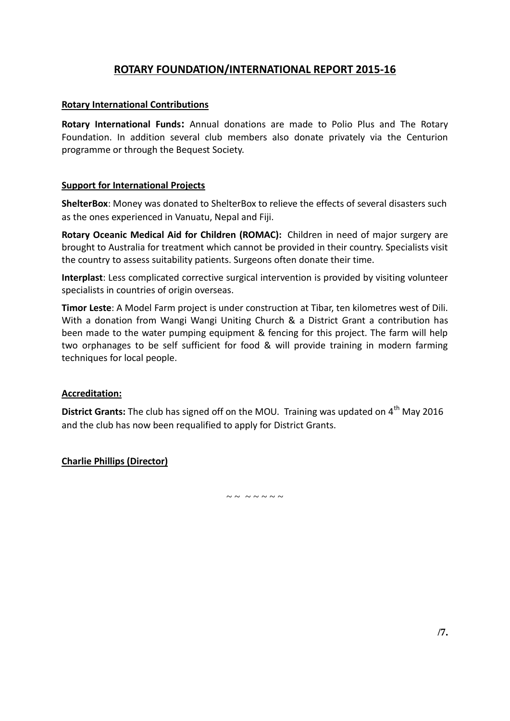## **ROTARY FOUNDATION/INTERNATIONAL REPORT 2015-16**

#### **Rotary International Contributions**

**Rotary International Funds:** Annual donations are made to Polio Plus and The Rotary Foundation. In addition several club members also donate privately via the Centurion programme or through the Bequest Society.

#### **Support for International Projects**

**ShelterBox**: Money was donated to ShelterBox to relieve the effects of several disasters such as the ones experienced in Vanuatu, Nepal and Fiji.

**Rotary Oceanic Medical Aid for Children (ROMAC):** Children in need of major surgery are brought to Australia for treatment which cannot be provided in their country. Specialists visit the country to assess suitability patients. Surgeons often donate their time.

**Interplast**: Less complicated corrective surgical intervention is provided by visiting volunteer specialists in countries of origin overseas.

**Timor Leste**: A Model Farm project is under construction at Tibar, ten kilometres west of Dili. With a donation from Wangi Wangi Uniting Church & a District Grant a contribution has been made to the water pumping equipment & fencing for this project. The farm will help two orphanages to be self sufficient for food & will provide training in modern farming techniques for local people.

#### **Accreditation:**

**District Grants:** The club has signed off on the MOU. Training was updated on 4<sup>th</sup> May 2016 and the club has now been requalified to apply for District Grants.

**Charlie Phillips (Director)**

 $\sim$   $\sim$   $\sim$   $\sim$   $\sim$   $\sim$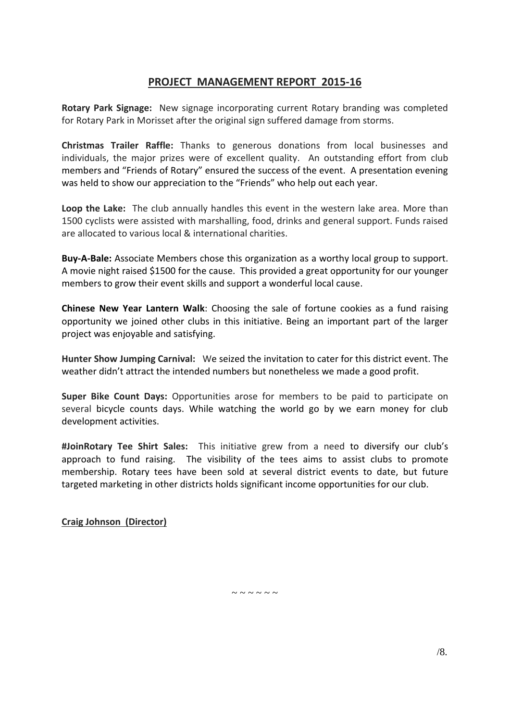## **PROJECT MANAGEMENT REPORT 2015-16**

**Rotary Park Signage:** New signage incorporating current Rotary branding was completed for Rotary Park in Morisset after the original sign suffered damage from storms.

**Christmas Trailer Raffle:** Thanks to generous donations from local businesses and individuals, the major prizes were of excellent quality. An outstanding effort from club members and "Friends of Rotary" ensured the success of the event. A presentation evening was held to show our appreciation to the "Friends" who help out each year.

**Loop the Lake:** The club annually handles this event in the western lake area. More than 1500 cyclists were assisted with marshalling, food, drinks and general support. Funds raised are allocated to various local & international charities.

**Buy-A-Bale:** Associate Members chose this organization as a worthy local group to support. A movie night raised \$1500 for the cause. This provided a great opportunity for our younger members to grow their event skills and support a wonderful local cause.

**Chinese New Year Lantern Walk**: Choosing the sale of fortune cookies as a fund raising opportunity we joined other clubs in this initiative. Being an important part of the larger project was enjoyable and satisfying.

**Hunter Show Jumping Carnival:** We seized the invitation to cater for this district event. The weather didn't attract the intended numbers but nonetheless we made a good profit.

**Super Bike Count Days:** Opportunities arose for members to be paid to participate on several bicycle counts days. While watching the world go by we earn money for club development activities.

**#JoinRotary Tee Shirt Sales:** This initiative grew from a need to diversify our club's approach to fund raising. The visibility of the tees aims to assist clubs to promote membership. Rotary tees have been sold at several district events to date, but future targeted marketing in other districts holds significant income opportunities for our club.

**Craig Johnson (Director)**

 $\sim$   $\sim$   $\sim$   $\sim$   $\sim$